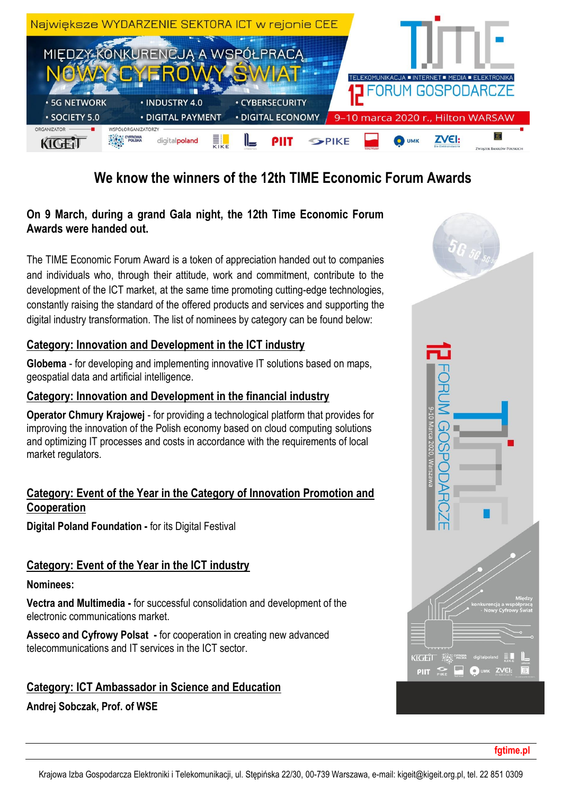

# **We know the winners of the 12th TIME Economic Forum Awards**

## **On 9 March, during a grand Gala night, the 12th Time Economic Forum Awards were handed out.**

The TIME Economic Forum Award is a token of appreciation handed out to companies and individuals who, through their attitude, work and commitment, contribute to the development of the ICT market, at the same time promoting cutting-edge technologies, constantly raising the standard of the offered products and services and supporting the digital industry transformation. The list of nominees by category can be found below:

### **Category: Innovation and Development in the ICT industry**

**Globema** - for developing and implementing innovative IT solutions based on maps, geospatial data and artificial intelligence.

#### **Category: Innovation and Development in the financial industry**

**Operator Chmury Krajowej** - for providing a technological platform that provides for improving the innovation of the Polish economy based on cloud computing solutions and optimizing IT processes and costs in accordance with the requirements of local market regulators.

#### **Category: Event of the Year in the Category of Innovation Promotion and Cooperation**

**Digital Poland Foundation -** for its Digital Festival

### **Category: Event of the Year in the ICT industry**

#### **Nominees:**

**Vectra and Multimedia -** for successful consolidation and development of the electronic communications market.

**Asseco and Cyfrowy Polsat -** for cooperation in creating new advanced telecommunications and IT services in the ICT sector.

### **Category: ICT Ambassador in Science and Education**

**Andrej Sobczak, Prof. of WSE**